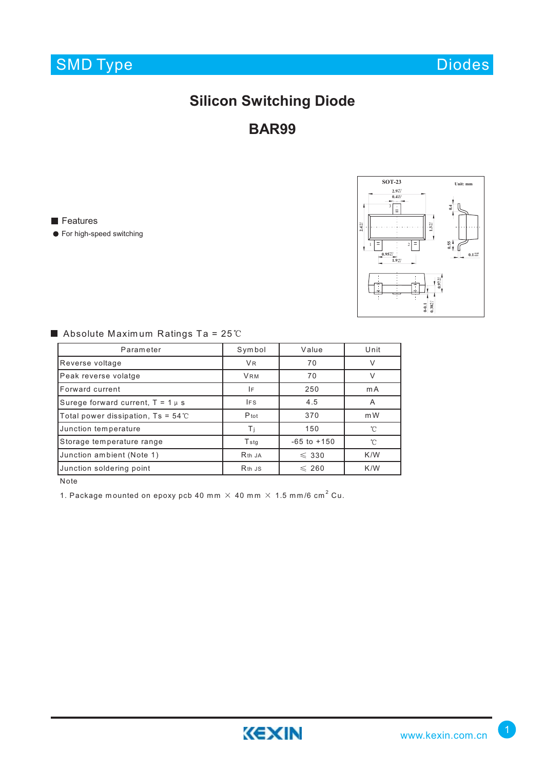

Diodes

## **Silicon Switching Diode**

**BAR99**

**Features** 

**•** For high-speed switching



### Absolute Maximum Ratings Ta =  $25^{\circ}$ C

| Parameter                                    | Symbol                         | Value           | Unit              |  |
|----------------------------------------------|--------------------------------|-----------------|-------------------|--|
| Reverse voltage                              | V <sub>R</sub>                 | 70              | ν                 |  |
| Peak reverse volatge                         | <b>VRM</b>                     | 70              | $\sqrt{}$         |  |
| Forward current                              | ١F                             | 250             | mA                |  |
| Surege forward current, $T = 1 \mu s$        | <b>IFS</b>                     | 4.5             | A                 |  |
| Total power dissipation, $Ts = 54^{\circ}$ C | $P_{tot}$                      | 370             | m W               |  |
| Junction temperature                         | Τi                             | 150             | $^{\circ}$ $\cap$ |  |
| Storage temperature range                    | <b>T</b> stg                   | $-65$ to $+150$ | ิ∩°               |  |
| Junction ambient (Note 1)                    | R <sub>th</sub> J <sub>A</sub> | $\leqslant$ 330 | K/W               |  |
| Junction soldering point                     | R <sub>th</sub> J <sub>S</sub> | $\leqslant$ 260 | K/W               |  |

Note

1. Package mounted on epoxy pcb 40 mm  $\times$  40 mm  $\times$  1.5 mm/6 cm<sup>2</sup> Cu.